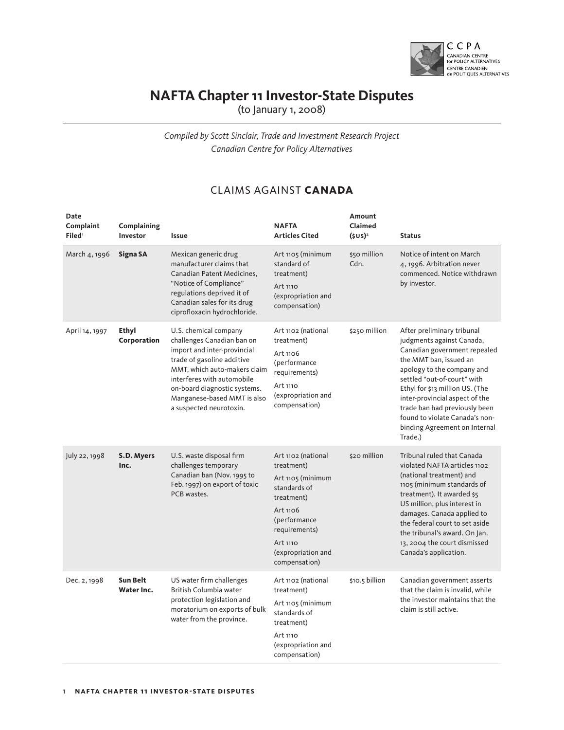

# **NAFTA Chapter 11 Investor-State Disputes**

(to January 1, 2008)

*Compiled by Scott Sinclair, Trade and Investment Research Project Canadian Centre for Policy Alternatives*

## CLAIMS AGAINST **CANADA**

| <b>Date</b><br>Complaint<br>Filed <sup>®</sup> | Complaining<br>Investor       | <b>Issue</b>                                                                                                                                                                                                                                                             | <b>NAFTA</b><br><b>Articles Cited</b>                                                                                                                                               | <b>Amount</b><br>Claimed<br>$(sus)^2$ | <b>Status</b>                                                                                                                                                                                                                                                                                                                                                      |
|------------------------------------------------|-------------------------------|--------------------------------------------------------------------------------------------------------------------------------------------------------------------------------------------------------------------------------------------------------------------------|-------------------------------------------------------------------------------------------------------------------------------------------------------------------------------------|---------------------------------------|--------------------------------------------------------------------------------------------------------------------------------------------------------------------------------------------------------------------------------------------------------------------------------------------------------------------------------------------------------------------|
| March 4, 1996                                  | <b>Signa SA</b>               | Mexican generic drug<br>manufacturer claims that<br>Canadian Patent Medicines,<br>"Notice of Compliance"                                                                                                                                                                 | Art 1105 (minimum<br>standard of<br>treatment)<br>Art 1110                                                                                                                          | \$50 million<br>Cdn.                  | Notice of intent on March<br>4, 1996. Arbitration never<br>commenced. Notice withdrawn<br>by investor.                                                                                                                                                                                                                                                             |
|                                                |                               | regulations deprived it of<br>Canadian sales for its drug<br>ciprofloxacin hydrochloride.                                                                                                                                                                                | (expropriation and<br>compensation)                                                                                                                                                 |                                       |                                                                                                                                                                                                                                                                                                                                                                    |
| April 14, 1997                                 | Ethyl<br>Corporation          | U.S. chemical company<br>challenges Canadian ban on<br>import and inter-provincial<br>trade of gasoline additive<br>MMT, which auto-makers claim<br>interferes with automobile<br>on-board diagnostic systems.<br>Manganese-based MMT is also<br>a suspected neurotoxin. | Art 1102 (national<br>treatment)<br>Art 1106<br>(performance<br>requirements)<br>Art 1110<br>(expropriation and<br>compensation)                                                    | \$250 million                         | After preliminary tribunal<br>judgments against Canada,<br>Canadian government repealed<br>the MMT ban, issued an<br>apology to the company and<br>settled "out-of-court" with<br>Ethyl for \$13 million US. (The<br>inter-provincial aspect of the<br>trade ban had previously been<br>found to violate Canada's non-<br>binding Agreement on Internal<br>Trade.) |
| July 22, 1998                                  | S.D. Myers<br>Inc.            | U.S. waste disposal firm<br>challenges temporary<br>Canadian ban (Nov. 1995 to<br>Feb. 1997) on export of toxic<br>PCB wastes.                                                                                                                                           | Art 1102 (national<br>treatment)<br>Art 1105 (minimum<br>standards of<br>treatment)<br>Art 1106<br>(performance<br>requirements)<br>Art 1110<br>(expropriation and<br>compensation) | \$20 million                          | Tribunal ruled that Canada<br>violated NAFTA articles 1102<br>(national treatment) and<br>1105 (minimum standards of<br>treatment). It awarded \$5<br>US million, plus interest in<br>damages. Canada applied to<br>the federal court to set aside<br>the tribunal's award. On Jan.<br>13, 2004 the court dismissed<br>Canada's application.                       |
| Dec. 2, 1998                                   | <b>Sun Belt</b><br>Water Inc. | US water firm challenges<br>British Columbia water<br>protection legislation and<br>moratorium on exports of bulk<br>water from the province.                                                                                                                            | Art 1102 (national<br>treatment)<br>Art 1105 (minimum<br>standards of<br>treatment)<br>Art 1110<br>(expropriation and<br>compensation)                                              | \$10.5 billion                        | Canadian government asserts<br>that the claim is invalid, while<br>the investor maintains that the<br>claim is still active.                                                                                                                                                                                                                                       |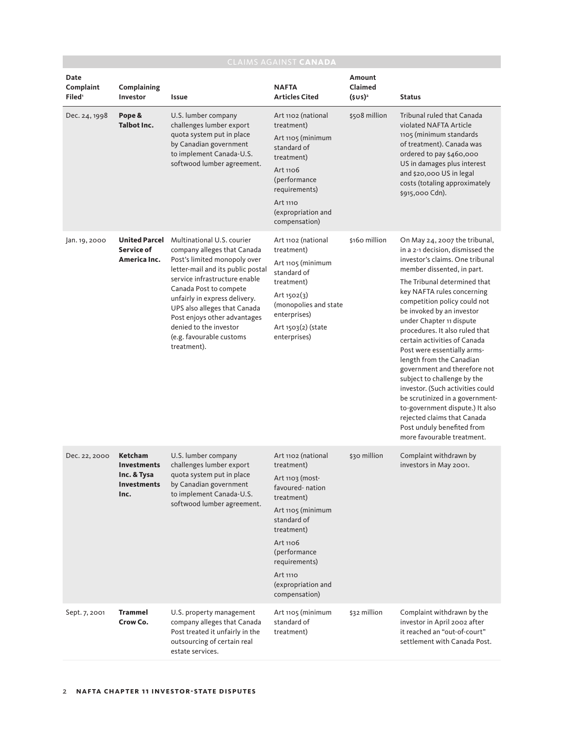|                                         | CLAIMS AGAINST <b>CANADA</b>                                                      |                                                                                                                                                                                                                                                                                                                                                                 |                                                                                                                                                                                                                                        |                                |                                                                                                                                                                                                                                                                                                                                                                                                                                                                                                                                                                                                                                                                                            |  |  |
|-----------------------------------------|-----------------------------------------------------------------------------------|-----------------------------------------------------------------------------------------------------------------------------------------------------------------------------------------------------------------------------------------------------------------------------------------------------------------------------------------------------------------|----------------------------------------------------------------------------------------------------------------------------------------------------------------------------------------------------------------------------------------|--------------------------------|--------------------------------------------------------------------------------------------------------------------------------------------------------------------------------------------------------------------------------------------------------------------------------------------------------------------------------------------------------------------------------------------------------------------------------------------------------------------------------------------------------------------------------------------------------------------------------------------------------------------------------------------------------------------------------------------|--|--|
| Date<br>Complaint<br>Filed <sup>®</sup> | Complaining<br>Investor                                                           | <b>Issue</b>                                                                                                                                                                                                                                                                                                                                                    | <b>NAFTA</b><br><b>Articles Cited</b>                                                                                                                                                                                                  | Amount<br>Claimed<br>$(sus)^2$ | <b>Status</b>                                                                                                                                                                                                                                                                                                                                                                                                                                                                                                                                                                                                                                                                              |  |  |
| Dec. 24, 1998                           | Pope &<br>Talbot Inc.                                                             | U.S. lumber company<br>challenges lumber export<br>quota system put in place<br>by Canadian government<br>to implement Canada-U.S.<br>softwood lumber agreement.                                                                                                                                                                                                | Art 1102 (national<br>treatment)<br>Art 1105 (minimum<br>standard of<br>treatment)<br>Art 1106<br>(performance<br>requirements)<br>Art 1110<br>(expropriation and<br>compensation)                                                     | \$508 million                  | <b>Tribunal ruled that Canada</b><br>violated NAFTA Article<br>1105 (minimum standards<br>of treatment). Canada was<br>ordered to pay \$460,000<br>US in damages plus interest<br>and \$20,000 US in legal<br>costs (totaling approximately<br>\$915,000 Cdn).                                                                                                                                                                                                                                                                                                                                                                                                                             |  |  |
| Jan. 19, 2000                           | <b>United Parcel</b><br><b>Service of</b><br>America Inc.                         | Multinational U.S. courier<br>company alleges that Canada<br>Post's limited monopoly over<br>letter-mail and its public postal<br>service infrastructure enable<br>Canada Post to compete<br>unfairly in express delivery.<br>UPS also alleges that Canada<br>Post enjoys other advantages<br>denied to the investor<br>(e.g. favourable customs<br>treatment). | Art 1102 (national<br>treatment)<br>Art 1105 (minimum<br>standard of<br>treatment)<br>Art $1502(3)$<br>(monopolies and state<br>enterprises)<br>Art 1503(2) (state<br>enterprises)                                                     | \$160 million                  | On May 24, 2007 the tribunal,<br>in a 2-1 decision, dismissed the<br>investor's claims. One tribunal<br>member dissented, in part.<br>The Tribunal determined that<br>key NAFTA rules concerning<br>competition policy could not<br>be invoked by an investor<br>under Chapter 11 dispute<br>procedures. It also ruled that<br>certain activities of Canada<br>Post were essentially arms-<br>length from the Canadian<br>government and therefore not<br>subject to challenge by the<br>investor. (Such activities could<br>be scrutinized in a government-<br>to-government dispute.) It also<br>rejected claims that Canada<br>Post unduly benefited from<br>more favourable treatment. |  |  |
| Dec. 22, 2000                           | <b>Ketcham</b><br><b>Investments</b><br>Inc. & Tysa<br><b>Investments</b><br>Inc. | U.S. lumber company<br>challenges lumber export<br>quota system put in place<br>by Canadian government<br>to implement Canada-U.S.<br>softwood lumber agreement.                                                                                                                                                                                                | Art 1102 (national<br>treatment)<br>Art 1103 (most-<br>favoured-nation<br>treatment)<br>Art 1105 (minimum<br>standard of<br>treatment)<br>Art 1106<br>(performance<br>requirements)<br>Art 1110<br>(expropriation and<br>compensation) | \$30 million                   | Complaint withdrawn by<br>investors in May 2001.                                                                                                                                                                                                                                                                                                                                                                                                                                                                                                                                                                                                                                           |  |  |
| Sept. 7, 2001                           | <b>Trammel</b><br>Crow Co.                                                        | U.S. property management<br>company alleges that Canada<br>Post treated it unfairly in the<br>outsourcing of certain real<br>estate services.                                                                                                                                                                                                                   | Art 1105 (minimum<br>standard of<br>treatment)                                                                                                                                                                                         | \$32 million                   | Complaint withdrawn by the<br>investor in April 2002 after<br>it reached an "out-of-court"<br>settlement with Canada Post.                                                                                                                                                                                                                                                                                                                                                                                                                                                                                                                                                                 |  |  |

**College**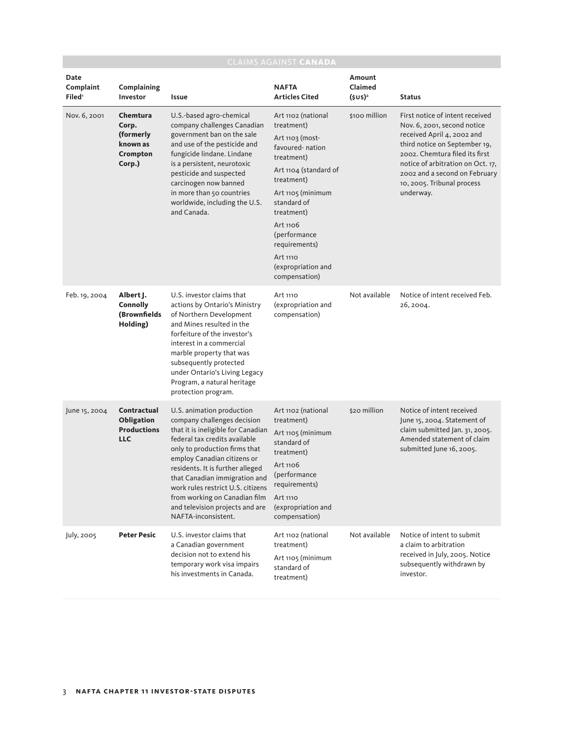| CLAIMS AGAINST <b>CANADA</b>            |                                                                      |                                                                                                                                                                                                                                                                                                                                                                                                      |                                                                                                                                                                                                                                                                               |                                |                                                                                                                                                                                                                                                                                  |
|-----------------------------------------|----------------------------------------------------------------------|------------------------------------------------------------------------------------------------------------------------------------------------------------------------------------------------------------------------------------------------------------------------------------------------------------------------------------------------------------------------------------------------------|-------------------------------------------------------------------------------------------------------------------------------------------------------------------------------------------------------------------------------------------------------------------------------|--------------------------------|----------------------------------------------------------------------------------------------------------------------------------------------------------------------------------------------------------------------------------------------------------------------------------|
| Date<br>Complaint<br>Filed <sup>1</sup> | Complaining<br>Investor                                              | Issue                                                                                                                                                                                                                                                                                                                                                                                                | <b>NAFTA</b><br><b>Articles Cited</b>                                                                                                                                                                                                                                         | Amount<br>Claimed<br>$(sus)^2$ | <b>Status</b>                                                                                                                                                                                                                                                                    |
| Nov. 6, 2001                            | Chemtura<br>Corp.<br>(formerly<br>known as<br>Crompton<br>Corp.)     | U.S.-based agro-chemical<br>company challenges Canadian<br>government ban on the sale<br>and use of the pesticide and<br>fungicide lindane. Lindane<br>is a persistent, neurotoxic<br>pesticide and suspected<br>carcinogen now banned<br>in more than 50 countries<br>worldwide, including the U.S.<br>and Canada.                                                                                  | Art 1102 (national<br>treatment)<br>Art 1103 (most-<br>favoured-nation<br>treatment)<br>Art 1104 (standard of<br>treatment)<br>Art 1105 (minimum<br>standard of<br>treatment)<br>Art 1106<br>(performance<br>requirements)<br>Art 1110<br>(expropriation and<br>compensation) | \$100 million                  | First notice of intent received<br>Nov. 6, 2001, second notice<br>received April 4, 2002 and<br>third notice on September 19,<br>2002. Chemtura filed its first<br>notice of arbitration on Oct. 17,<br>2002 and a second on February<br>10, 2005. Tribunal process<br>underway. |
| Feb. 19, 2004                           | Albert J.<br><b>Connolly</b><br>(Brownfields<br>Holding)             | U.S. investor claims that<br>actions by Ontario's Ministry<br>of Northern Development<br>and Mines resulted in the<br>forfeiture of the investor's<br>interest in a commercial<br>marble property that was<br>subsequently protected<br>under Ontario's Living Legacy<br>Program, a natural heritage<br>protection program.                                                                          | Art 1110<br>(expropriation and<br>compensation)                                                                                                                                                                                                                               | Not available                  | Notice of intent received Feb.<br>26, 2004.                                                                                                                                                                                                                                      |
| June 15, 2004                           | Contractual<br><b>Obligation</b><br><b>Productions</b><br><b>LLC</b> | U.S. animation production<br>company challenges decision<br>that it is ineligible for Canadian<br>federal tax credits available<br>only to production firms that<br>employ Canadian citizens or<br>residents. It is further alleged<br>that Canadian immigration and<br>work rules restrict U.S. citizens<br>from working on Canadian film<br>and television projects and are<br>NAFTA-inconsistent. | Art 1102 (national<br>treatment)<br>Art 1105 (minimum<br>standard of<br>treatment)<br>Art 1106<br>(performance<br>requirements)<br>Art 1110<br>(expropriation and<br>compensation)                                                                                            | \$20 million                   | Notice of intent received<br>June 15, 2004. Statement of<br>claim submitted Jan. 31, 2005.<br>Amended statement of claim<br>submitted June 16, 2005.                                                                                                                             |
| July, 2005                              | <b>Peter Pesic</b>                                                   | U.S. investor claims that<br>a Canadian government<br>decision not to extend his<br>temporary work visa impairs<br>his investments in Canada.                                                                                                                                                                                                                                                        | Art 1102 (national<br>treatment)<br>Art 1105 (minimum<br>standard of<br>treatment)                                                                                                                                                                                            | Not available                  | Notice of intent to submit<br>a claim to arbitration<br>received in July, 2005. Notice<br>subsequently withdrawn by<br>investor.                                                                                                                                                 |

п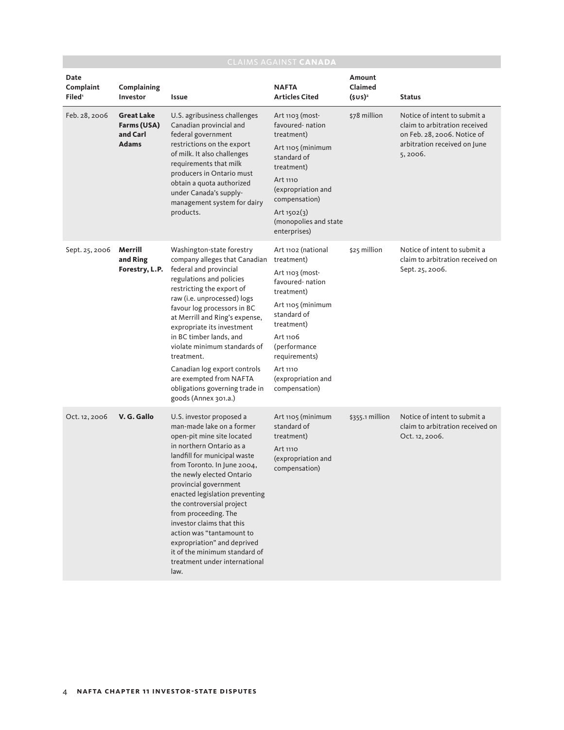|                                         |                                                              |                                                                                                                                                                                                                                                                                                                                                                                                                                                                                                | CLAIMS AGAINST <b>CANADA</b>                                                                                                                                                                                                           |                                       |                                                                                                                                         |
|-----------------------------------------|--------------------------------------------------------------|------------------------------------------------------------------------------------------------------------------------------------------------------------------------------------------------------------------------------------------------------------------------------------------------------------------------------------------------------------------------------------------------------------------------------------------------------------------------------------------------|----------------------------------------------------------------------------------------------------------------------------------------------------------------------------------------------------------------------------------------|---------------------------------------|-----------------------------------------------------------------------------------------------------------------------------------------|
| Date<br>Complaint<br>Filed <sup>1</sup> | Complaining<br>Investor                                      | <b>Issue</b>                                                                                                                                                                                                                                                                                                                                                                                                                                                                                   | <b>NAFTA</b><br><b>Articles Cited</b>                                                                                                                                                                                                  | <b>Amount</b><br>Claimed<br>$(sus)^2$ | <b>Status</b>                                                                                                                           |
| Feb. 28, 2006                           | <b>Great Lake</b><br>Farms (USA)<br>and Carl<br><b>Adams</b> | U.S. agribusiness challenges<br>Canadian provincial and<br>federal government<br>restrictions on the export<br>of milk. It also challenges<br>requirements that milk<br>producers in Ontario must<br>obtain a quota authorized<br>under Canada's supply-<br>management system for dairy<br>products.                                                                                                                                                                                           | Art 1103 (most-<br>favoured-nation<br>treatment)<br>Art 1105 (minimum<br>standard of<br>treatment)<br>Art 1110<br>(expropriation and<br>compensation)<br>Art $1502(3)$<br>(monopolies and state<br>enterprises)                        | \$78 million                          | Notice of intent to submit a<br>claim to arbitration received<br>on Feb. 28, 2006. Notice of<br>arbitration received on June<br>5,2006. |
| Sept. 25, 2006                          | Merrill<br>and Ring<br>Forestry, L.P.                        | Washington-state forestry<br>company alleges that Canadian<br>federal and provincial<br>regulations and policies<br>restricting the export of<br>raw (i.e. unprocessed) logs<br>favour log processors in BC<br>at Merrill and Ring's expense,<br>expropriate its investment<br>in BC timber lands, and<br>violate minimum standards of<br>treatment.<br>Canadian log export controls<br>are exempted from NAFTA<br>obligations governing trade in<br>goods (Annex 301.a.)                      | Art 1102 (national<br>treatment)<br>Art 1103 (most-<br>favoured-nation<br>treatment)<br>Art 1105 (minimum<br>standard of<br>treatment)<br>Art 1106<br>(performance<br>requirements)<br>Art 1110<br>(expropriation and<br>compensation) | \$25 million                          | Notice of intent to submit a<br>claim to arbitration received on<br>Sept. 25, 2006.                                                     |
| Oct. 12, 2006                           | V. G. Gallo                                                  | U.S. investor proposed a<br>man-made lake on a former<br>open-pit mine site located<br>in northern Ontario as a<br>landfill for municipal waste<br>from Toronto. In June 2004,<br>the newly elected Ontario<br>provincial government<br>enacted legislation preventing<br>the controversial project<br>from proceeding. The<br>investor claims that this<br>action was "tantamount to<br>expropriation" and deprived<br>it of the minimum standard of<br>treatment under international<br>law. | Art 1105 (minimum<br>standard of<br>treatment)<br>Art 1110<br>(expropriation and<br>compensation)                                                                                                                                      | \$355.1 million                       | Notice of intent to submit a<br>claim to arbitration received on<br>Oct. 12, 2006.                                                      |

### CLAIMS AGAINST **CANADA**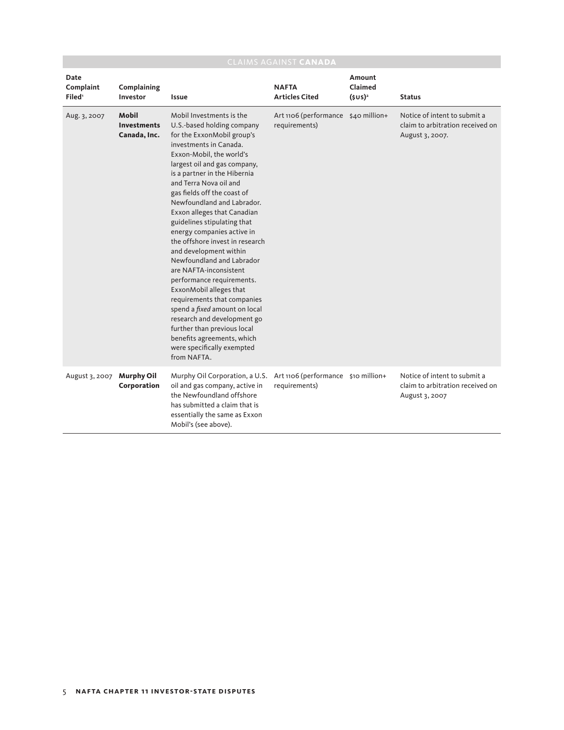|                                         | <b>CLAIMS AGAINST CANADA</b>                       |                                                                                                                                                                                                                                                                                                                                                                                                                                                                                                                                                                                                                                                                                                                                                                                    |                                                      |                                       |                                                                                     |  |
|-----------------------------------------|----------------------------------------------------|------------------------------------------------------------------------------------------------------------------------------------------------------------------------------------------------------------------------------------------------------------------------------------------------------------------------------------------------------------------------------------------------------------------------------------------------------------------------------------------------------------------------------------------------------------------------------------------------------------------------------------------------------------------------------------------------------------------------------------------------------------------------------------|------------------------------------------------------|---------------------------------------|-------------------------------------------------------------------------------------|--|
| Date<br>Complaint<br>Filed <sup>®</sup> | Complaining<br>Investor                            | <b>Issue</b>                                                                                                                                                                                                                                                                                                                                                                                                                                                                                                                                                                                                                                                                                                                                                                       | <b>NAFTA</b><br><b>Articles Cited</b>                | <b>Amount</b><br>Claimed<br>$(sus)^2$ | <b>Status</b>                                                                       |  |
| Aug. 3, 2007                            | <b>Mobil</b><br><b>Investments</b><br>Canada, Inc. | Mobil Investments is the<br>U.S.-based holding company<br>for the ExxonMobil group's<br>investments in Canada.<br>Exxon-Mobil, the world's<br>largest oil and gas company,<br>is a partner in the Hibernia<br>and Terra Nova oil and<br>gas fields off the coast of<br>Newfoundland and Labrador.<br>Exxon alleges that Canadian<br>guidelines stipulating that<br>energy companies active in<br>the offshore invest in research<br>and development within<br>Newfoundland and Labrador<br>are NAFTA-inconsistent<br>performance requirements.<br>ExxonMobil alleges that<br>requirements that companies<br>spend a fixed amount on local<br>research and development go<br>further than previous local<br>benefits agreements, which<br>were specifically exempted<br>from NAFTA. | Art 1106 (performance \$40 million+<br>requirements) |                                       | Notice of intent to submit a<br>claim to arbitration received on<br>August 3, 2007. |  |
| August 3, 2007                          | <b>Murphy Oil</b><br>Corporation                   | Murphy Oil Corporation, a U.S.<br>oil and gas company, active in<br>the Newfoundland offshore<br>has submitted a claim that is<br>essentially the same as Exxon<br>Mobil's (see above).                                                                                                                                                                                                                                                                                                                                                                                                                                                                                                                                                                                            | Art 1106 (performance \$10 million+<br>requirements) |                                       | Notice of intent to submit a<br>claim to arbitration received on<br>August 3, 2007  |  |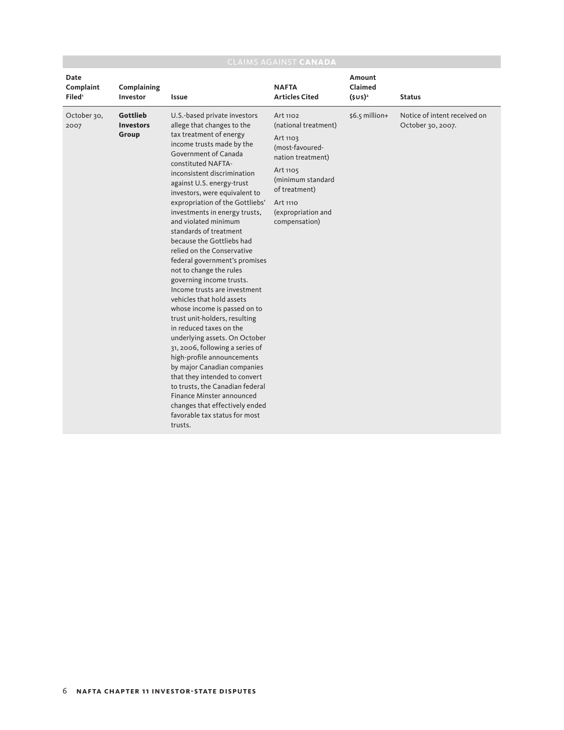| <b>CLAIMS AGAINST CANADA</b>            |                                       |                                                                                                                                                                                                                                                                                                                                                                                                                                                                                                                                                                                                                                                                                                                                                                                                                                                                                                                                                                                                                 |                                                                                                                                                                                           |                                        |                                                   |  |
|-----------------------------------------|---------------------------------------|-----------------------------------------------------------------------------------------------------------------------------------------------------------------------------------------------------------------------------------------------------------------------------------------------------------------------------------------------------------------------------------------------------------------------------------------------------------------------------------------------------------------------------------------------------------------------------------------------------------------------------------------------------------------------------------------------------------------------------------------------------------------------------------------------------------------------------------------------------------------------------------------------------------------------------------------------------------------------------------------------------------------|-------------------------------------------------------------------------------------------------------------------------------------------------------------------------------------------|----------------------------------------|---------------------------------------------------|--|
| Date<br>Complaint<br>Filed <sup>1</sup> | Complaining<br>Investor               | <b>Issue</b>                                                                                                                                                                                                                                                                                                                                                                                                                                                                                                                                                                                                                                                                                                                                                                                                                                                                                                                                                                                                    | <b>NAFTA</b><br><b>Articles Cited</b>                                                                                                                                                     | <b>Amount</b><br>Claimed<br>$(\xiUS)2$ | <b>Status</b>                                     |  |
| October 30,<br>2007                     | Gottlieb<br><b>Investors</b><br>Group | U.S.-based private investors<br>allege that changes to the<br>tax treatment of energy<br>income trusts made by the<br>Government of Canada<br>constituted NAFTA-<br>inconsistent discrimination<br>against U.S. energy-trust<br>investors, were equivalent to<br>expropriation of the Gottliebs'<br>investments in energy trusts,<br>and violated minimum<br>standards of treatment<br>because the Gottliebs had<br>relied on the Conservative<br>federal government's promises<br>not to change the rules<br>governing income trusts.<br>Income trusts are investment<br>vehicles that hold assets<br>whose income is passed on to<br>trust unit-holders, resulting<br>in reduced taxes on the<br>underlying assets. On October<br>31, 2006, following a series of<br>high-profile announcements<br>by major Canadian companies<br>that they intended to convert<br>to trusts, the Canadian federal<br>Finance Minster announced<br>changes that effectively ended<br>favorable tax status for most<br>trusts. | Art 1102<br>(national treatment)<br>Art 1103<br>(most-favoured-<br>nation treatment)<br>Art 1105<br>(minimum standard<br>of treatment)<br>Art 1110<br>(expropriation and<br>compensation) | $$6.5$ million+                        | Notice of intent received on<br>October 30, 2007. |  |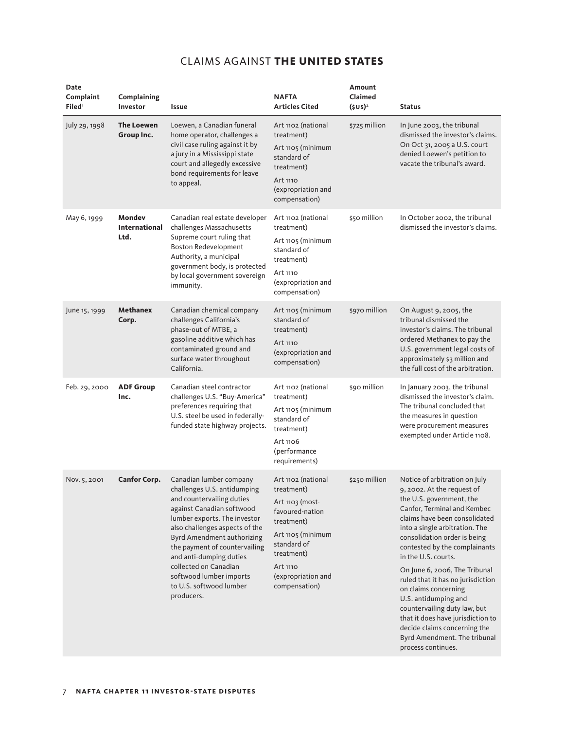## CLAIMS AGAINST **THE UNITED STATES**

| Date<br>Complaint<br>Filed <sup>1</sup> | Complaining<br>Investor         | Issue                                                                                                                                                                                                                                                                                                                                                                     | <b>NAFTA</b><br><b>Articles Cited</b>                                                                                                                                                     | Amount<br>Claimed<br>$(sus)^2$ | <b>Status</b>                                                                                                                                                                                                                                                                                                                                                                                                                                                                                                                                                      |
|-----------------------------------------|---------------------------------|---------------------------------------------------------------------------------------------------------------------------------------------------------------------------------------------------------------------------------------------------------------------------------------------------------------------------------------------------------------------------|-------------------------------------------------------------------------------------------------------------------------------------------------------------------------------------------|--------------------------------|--------------------------------------------------------------------------------------------------------------------------------------------------------------------------------------------------------------------------------------------------------------------------------------------------------------------------------------------------------------------------------------------------------------------------------------------------------------------------------------------------------------------------------------------------------------------|
| July 29, 1998                           | <b>The Loewen</b><br>Group Inc. | Loewen, a Canadian funeral<br>home operator, challenges a<br>civil case ruling against it by<br>a jury in a Mississippi state<br>court and allegedly excessive<br>bond requirements for leave<br>to appeal.                                                                                                                                                               | Art 1102 (national<br>treatment)<br>Art 1105 (minimum<br>standard of<br>treatment)<br>Art 1110<br>(expropriation and<br>compensation)                                                     | \$725 million                  | In June 2003, the tribunal<br>dismissed the investor's claims.<br>On Oct 31, 2005 a U.S. court<br>denied Loewen's petition to<br>vacate the tribunal's award.                                                                                                                                                                                                                                                                                                                                                                                                      |
| May 6, 1999                             | Mondev<br>International<br>Ltd. | Canadian real estate developer<br>challenges Massachusetts<br>Supreme court ruling that<br><b>Boston Redevelopment</b><br>Authority, a municipal<br>government body, is protected<br>by local government sovereign<br>immunity.                                                                                                                                           | Art 1102 (national<br>treatment)<br>Art 1105 (minimum<br>standard of<br>treatment)<br>Art 1110<br>(expropriation and<br>compensation)                                                     | \$50 million                   | In October 2002, the tribunal<br>dismissed the investor's claims.                                                                                                                                                                                                                                                                                                                                                                                                                                                                                                  |
| June 15, 1999                           | <b>Methanex</b><br>Corp.        | Canadian chemical company<br>challenges California's<br>phase-out of MTBE, a<br>gasoline additive which has<br>contaminated ground and<br>surface water throughout<br>California.                                                                                                                                                                                         | Art 1105 (minimum<br>standard of<br>treatment)<br>Art 1110<br>(expropriation and<br>compensation)                                                                                         | \$970 million                  | On August 9, 2005, the<br>tribunal dismissed the<br>investor's claims. The tribunal<br>ordered Methanex to pay the<br>U.S. government legal costs of<br>approximately \$3 million and<br>the full cost of the arbitration.                                                                                                                                                                                                                                                                                                                                         |
| Feb. 29, 2000                           | <b>ADF Group</b><br>Inc.        | Canadian steel contractor<br>challenges U.S. "Buy-America"<br>preferences requiring that<br>U.S. steel be used in federally-<br>funded state highway projects.                                                                                                                                                                                                            | Art 1102 (national<br>treatment)<br>Art 1105 (minimum<br>standard of<br>treatment)<br>Art 1106<br>(performance<br>requirements)                                                           | \$90 million                   | In January 2003, the tribunal<br>dismissed the investor's claim.<br>The tribunal concluded that<br>the measures in question<br>were procurement measures<br>exempted under Article 1108.                                                                                                                                                                                                                                                                                                                                                                           |
| Nov. 5, 2001                            | <b>Canfor Corp.</b>             | Canadian lumber company<br>challenges U.S. antidumping<br>and countervailing duties<br>against Canadian softwood<br>lumber exports. The investor<br>also challenges aspects of the<br>Byrd Amendment authorizing<br>the payment of countervailing<br>and anti-dumping duties<br>collected on Canadian<br>softwood lumber imports<br>to U.S. softwood lumber<br>producers. | Art 1102 (national<br>treatment)<br>Art 1103 (most-<br>favoured-nation<br>treatment)<br>Art 1105 (minimum<br>standard of<br>treatment)<br>Art 1110<br>(expropriation and<br>compensation) | \$250 million                  | Notice of arbitration on July<br>9, 2002. At the request of<br>the U.S. government, the<br>Canfor, Terminal and Kembec<br>claims have been consolidated<br>into a single arbitration. The<br>consolidation order is being<br>contested by the complainants<br>in the U.S. courts.<br>On June 6, 2006, The Tribunal<br>ruled that it has no jurisdiction<br>on claims concerning<br>U.S. antidumping and<br>countervailing duty law, but<br>that it does have jurisdiction to<br>decide claims concerning the<br>Byrd Amendment. The tribunal<br>process continues. |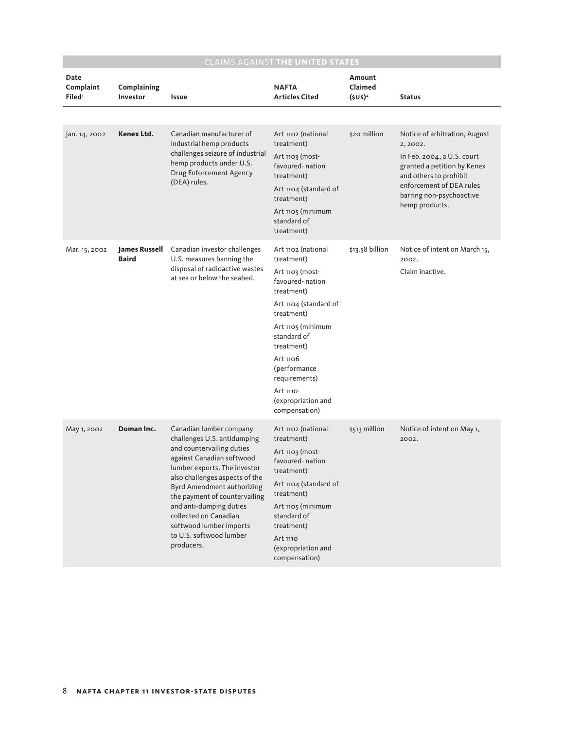|                                         | <b>CLAIMS AGAINST THE UNITED STATES</b> |                                                                                                                                                                                                                                                                                                                                                                                  |                                                                                                                                                                                                                                                                               |                               |                                                                                                                                                                                                           |  |
|-----------------------------------------|-----------------------------------------|----------------------------------------------------------------------------------------------------------------------------------------------------------------------------------------------------------------------------------------------------------------------------------------------------------------------------------------------------------------------------------|-------------------------------------------------------------------------------------------------------------------------------------------------------------------------------------------------------------------------------------------------------------------------------|-------------------------------|-----------------------------------------------------------------------------------------------------------------------------------------------------------------------------------------------------------|--|
| Date<br>Complaint<br>Filed <sup>1</sup> | Complaining<br>Investor                 | Issue                                                                                                                                                                                                                                                                                                                                                                            | <b>NAFTA</b><br><b>Articles Cited</b>                                                                                                                                                                                                                                         | Amount<br>Claimed<br>$(sv)^2$ | <b>Status</b>                                                                                                                                                                                             |  |
|                                         |                                         |                                                                                                                                                                                                                                                                                                                                                                                  |                                                                                                                                                                                                                                                                               |                               |                                                                                                                                                                                                           |  |
| Jan. 14, 2002                           | Kenex Ltd.                              | Canadian manufacturer of<br>industrial hemp products<br>challenges seizure of industrial<br>hemp products under U.S.<br>Drug Enforcement Agency<br>(DEA) rules.                                                                                                                                                                                                                  | Art 1102 (national<br>treatment)<br>Art 1103 (most-<br>favoured-nation<br>treatment)<br>Art 1104 (standard of<br>treatment)<br>Art 1105 (minimum<br>standard of<br>treatment)                                                                                                 | \$20 million                  | Notice of arbitration, August<br>2,2002.<br>In Feb. 2004, a U.S. court<br>granted a petition by Kenex<br>and others to prohibit<br>enforcement of DEA rules<br>barring non-psychoactive<br>hemp products. |  |
| Mar. 15, 2002                           | <b>James Russell</b><br><b>Baird</b>    | Canadian investor challenges<br>U.S. measures banning the<br>disposal of radioactive wastes<br>at sea or below the seabed.                                                                                                                                                                                                                                                       | Art 1102 (national<br>treatment)<br>Art 1103 (most-<br>favoured-nation<br>treatment)<br>Art 1104 (standard of<br>treatment)<br>Art 1105 (minimum<br>standard of<br>treatment)<br>Art 1106<br>(performance<br>requirements)<br>Art 1110<br>(expropriation and<br>compensation) | \$13.58 billion               | Notice of intent on March 15,<br>2002.<br>Claim inactive.                                                                                                                                                 |  |
| May 1, 2002                             | Doman Inc.                              | Canadian lumber company<br>challenges U.S. antidumping<br>and countervailing duties<br>against Canadian softwood<br>lumber exports. The investor<br>also challenges aspects of the<br><b>Byrd Amendment authorizing</b><br>the payment of countervailing<br>and anti-dumping duties<br>collected on Canadian<br>softwood lumber imports<br>to U.S. softwood lumber<br>producers. | Art 1102 (national<br>treatment)<br>Art 1103 (most-<br>favoured-nation<br>treatment)<br>Art 1104 (standard of<br>treatment)<br>Art 1105 (minimum<br>standard of<br>treatment)<br>Art 1110<br>(expropriation and<br>compensation)                                              | \$513 million                 | Notice of intent on May 1,<br>2002.                                                                                                                                                                       |  |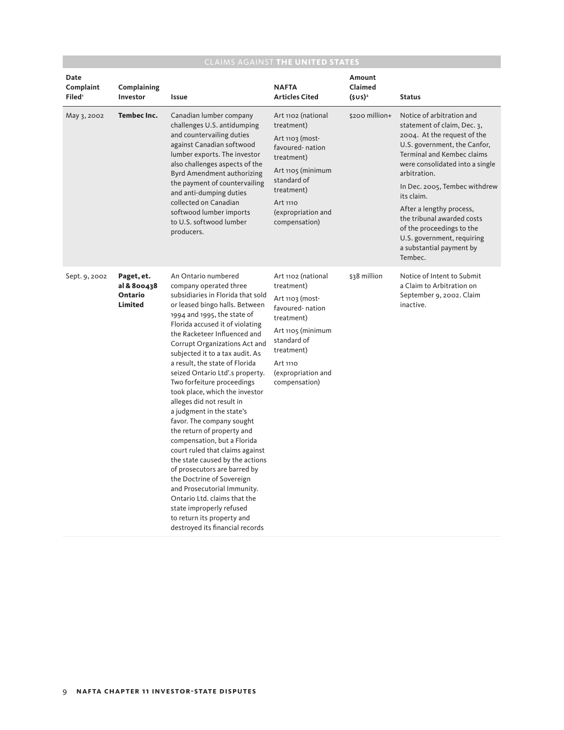| Date<br>Complaint<br>Filed <sup>1</sup> | Complaining<br>Investor                         | Issue                                                                                                                                                                                                                                                                                                                                                                                                                                                                                                                                                                                                                                                                                                                                                                                                                                                                              | <b>NAFTA</b><br><b>Articles Cited</b>                                                                                                                                                     | Amount<br>Claimed<br>$(sv)^2$ | <b>Status</b>                                                                                                                                                                                                                                                                                                                                                                                                       |
|-----------------------------------------|-------------------------------------------------|------------------------------------------------------------------------------------------------------------------------------------------------------------------------------------------------------------------------------------------------------------------------------------------------------------------------------------------------------------------------------------------------------------------------------------------------------------------------------------------------------------------------------------------------------------------------------------------------------------------------------------------------------------------------------------------------------------------------------------------------------------------------------------------------------------------------------------------------------------------------------------|-------------------------------------------------------------------------------------------------------------------------------------------------------------------------------------------|-------------------------------|---------------------------------------------------------------------------------------------------------------------------------------------------------------------------------------------------------------------------------------------------------------------------------------------------------------------------------------------------------------------------------------------------------------------|
| May 3, 2002                             | <b>Tembec Inc.</b>                              | Canadian lumber company<br>challenges U.S. antidumping<br>and countervailing duties<br>against Canadian softwood<br>lumber exports. The investor<br>also challenges aspects of the<br>Byrd Amendment authorizing<br>the payment of countervailing<br>and anti-dumping duties<br>collected on Canadian<br>softwood lumber imports<br>to U.S. softwood lumber<br>producers.                                                                                                                                                                                                                                                                                                                                                                                                                                                                                                          | Art 1102 (national<br>treatment)<br>Art 1103 (most-<br>favoured-nation<br>treatment)<br>Art 1105 (minimum<br>standard of<br>treatment)<br>Art 1110<br>(expropriation and<br>compensation) | \$200 million+                | Notice of arbitration and<br>statement of claim, Dec. 3,<br>2004. At the request of the<br>U.S. government, the Canfor,<br>Terminal and Kembec claims<br>were consolidated into a single<br>arbitration.<br>In Dec. 2005, Tembec withdrew<br>its claim.<br>After a lengthy process,<br>the tribunal awarded costs<br>of the proceedings to the<br>U.S. government, requiring<br>a substantial payment by<br>Tembec. |
| Sept. 9, 2002                           | Paget, et.<br>al & 800438<br>Ontario<br>Limited | An Ontario numbered<br>company operated three<br>subsidiaries in Florida that sold<br>or leased bingo halls. Between<br>1994 and 1995, the state of<br>Florida accused it of violating<br>the Racketeer Influenced and<br>Corrupt Organizations Act and<br>subjected it to a tax audit. As<br>a result, the state of Florida<br>seized Ontario Ltd'.s property.<br>Two forfeiture proceedings<br>took place, which the investor<br>alleges did not result in<br>a judgment in the state's<br>favor. The company sought<br>the return of property and<br>compensation, but a Florida<br>court ruled that claims against<br>the state caused by the actions<br>of prosecutors are barred by<br>the Doctrine of Sovereign<br>and Prosecutorial Immunity.<br>Ontario Ltd. claims that the<br>state improperly refused<br>to return its property and<br>destroyed its financial records | Art 1102 (national<br>treatment)<br>Art 1103 (most-<br>favoured-nation<br>treatment)<br>Art 1105 (minimum<br>standard of<br>treatment)<br>Art 1110<br>(expropriation and<br>compensation) | \$38 million                  | Notice of Intent to Submit<br>a Claim to Arbitration on<br>September 9, 2002. Claim<br>inactive.                                                                                                                                                                                                                                                                                                                    |

## CLAIMS AGAINST **THE UNITED STATES**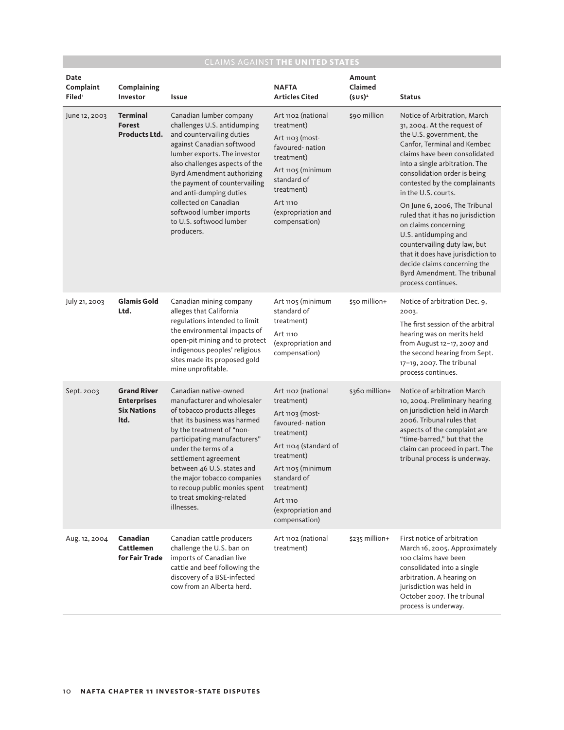|                                         | CLAIMS AGAINST THE UNITED STATES                                       |                                                                                                                                                                                                                                                                                                                                                                           |                                                                                                                                                                                                                                    |                               |                                                                                                                                                                                                                                                                                                                                                                                                                                                                                                                                                                    |  |
|-----------------------------------------|------------------------------------------------------------------------|---------------------------------------------------------------------------------------------------------------------------------------------------------------------------------------------------------------------------------------------------------------------------------------------------------------------------------------------------------------------------|------------------------------------------------------------------------------------------------------------------------------------------------------------------------------------------------------------------------------------|-------------------------------|--------------------------------------------------------------------------------------------------------------------------------------------------------------------------------------------------------------------------------------------------------------------------------------------------------------------------------------------------------------------------------------------------------------------------------------------------------------------------------------------------------------------------------------------------------------------|--|
| Date<br>Complaint<br>Filed <sup>®</sup> | Complaining<br>Investor                                                | Issue                                                                                                                                                                                                                                                                                                                                                                     | <b>NAFTA</b><br><b>Articles Cited</b>                                                                                                                                                                                              | Amount<br>Claimed<br>$(sv)^2$ | <b>Status</b>                                                                                                                                                                                                                                                                                                                                                                                                                                                                                                                                                      |  |
| June 12, 2003                           | <b>Terminal</b><br><b>Forest</b><br><b>Products Ltd.</b>               | Canadian lumber company<br>challenges U.S. antidumping<br>and countervailing duties<br>against Canadian softwood<br>lumber exports. The investor<br>also challenges aspects of the<br>Byrd Amendment authorizing<br>the payment of countervailing<br>and anti-dumping duties<br>collected on Canadian<br>softwood lumber imports<br>to U.S. softwood lumber<br>producers. | Art 1102 (national<br>treatment)<br>$Art 1103$ (most-<br>favoured-nation<br>treatment)<br>Art 1105 (minimum<br>standard of<br>treatment)<br>Art 1110<br>(expropriation and<br>compensation)                                        | \$90 million                  | Notice of Arbitration, March<br>31, 2004. At the request of<br>the U.S. government, the<br>Canfor, Terminal and Kembec<br>claims have been consolidated<br>into a single arbitration. The<br>consolidation order is being<br>contested by the complainants<br>in the U.S. courts.<br>On June 6, 2006, The Tribunal<br>ruled that it has no jurisdiction<br>on claims concerning<br>U.S. antidumping and<br>countervailing duty law, but<br>that it does have jurisdiction to<br>decide claims concerning the<br>Byrd Amendment. The tribunal<br>process continues. |  |
| July 21, 2003                           | <b>Glamis Gold</b><br>Ltd.                                             | Canadian mining company<br>alleges that California<br>regulations intended to limit<br>the environmental impacts of<br>open-pit mining and to protect<br>indigenous peoples' religious<br>sites made its proposed gold<br>mine unprofitable.                                                                                                                              | Art 1105 (minimum<br>standard of<br>treatment)<br>Art 1110<br>(expropriation and<br>compensation)                                                                                                                                  | \$50 million+                 | Notice of arbitration Dec. 9,<br>2003.<br>The first session of the arbitral<br>hearing was on merits held<br>from August 12-17, 2007 and<br>the second hearing from Sept.<br>17-19, 2007. The tribunal<br>process continues.                                                                                                                                                                                                                                                                                                                                       |  |
| Sept. 2003                              | <b>Grand River</b><br><b>Enterprises</b><br><b>Six Nations</b><br>Itd. | Canadian native-owned<br>manufacturer and wholesaler<br>of tobacco products alleges<br>that its business was harmed<br>by the treatment of "non-<br>participating manufacturers"<br>under the terms of a<br>settlement agreement<br>between 46 U.S. states and<br>the major tobacco companies<br>to recoup public monies spent<br>to treat smoking-related<br>illnesses.  | Art 1102 (national<br>treatment)<br>$Art 1103$ (most-<br>favoured-nation<br>treatment)<br>Art 1104 (standard of<br>treatment)<br>Art 1105 (minimum<br>standard of<br>treatment)<br>Art 1110<br>(expropriation and<br>compensation) | \$360 million+                | Notice of arbitration March<br>10, 2004. Preliminary hearing<br>on jurisdiction held in March<br>2006. Tribunal rules that<br>aspects of the complaint are<br>"time-barred," but that the<br>claim can proceed in part. The<br>tribunal process is underway.                                                                                                                                                                                                                                                                                                       |  |
| Aug. 12, 2004                           | Canadian<br><b>Cattlemen</b><br>for Fair Trade                         | Canadian cattle producers<br>challenge the U.S. ban on<br>imports of Canadian live<br>cattle and beef following the<br>discovery of a BSE-infected<br>cow from an Alberta herd.                                                                                                                                                                                           | Art 1102 (national<br>treatment)                                                                                                                                                                                                   | \$235 million+                | First notice of arbitration<br>March 16, 2005. Approximately<br>100 claims have been<br>consolidated into a single<br>arbitration. A hearing on<br>jurisdiction was held in<br>October 2007. The tribunal<br>process is underway.                                                                                                                                                                                                                                                                                                                                  |  |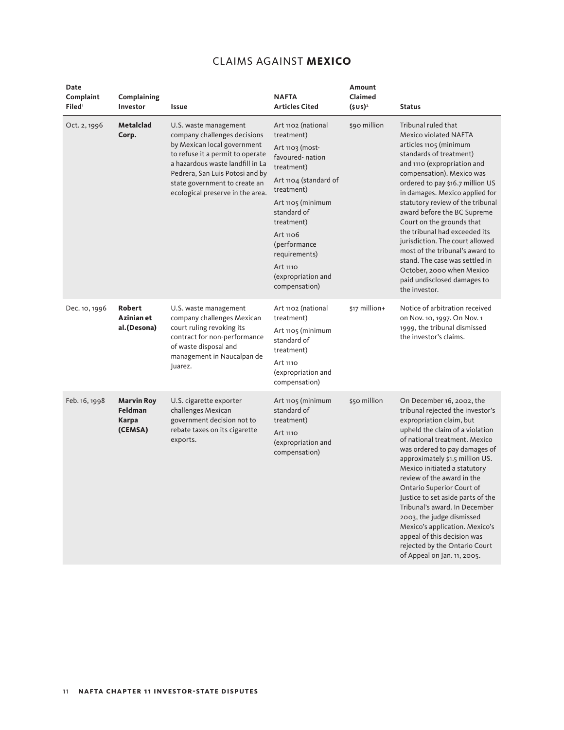## CLAIMS AGAINST **MEXICO**

| Date<br>Complaint<br>Filed <sup>®</sup> | Complaining<br>Investor                                        | Issue                                                                                                                                                                                                                                                                | <b>NAFTA</b><br><b>Articles Cited</b>                                                                                                                                                                                                                                         | Amount<br>Claimed<br>$(\xiUS)2$ | <b>Status</b>                                                                                                                                                                                                                                                                                                                                                                                                                                                                                                                                                    |
|-----------------------------------------|----------------------------------------------------------------|----------------------------------------------------------------------------------------------------------------------------------------------------------------------------------------------------------------------------------------------------------------------|-------------------------------------------------------------------------------------------------------------------------------------------------------------------------------------------------------------------------------------------------------------------------------|---------------------------------|------------------------------------------------------------------------------------------------------------------------------------------------------------------------------------------------------------------------------------------------------------------------------------------------------------------------------------------------------------------------------------------------------------------------------------------------------------------------------------------------------------------------------------------------------------------|
| Oct. 2, 1996                            | <b>Metalclad</b><br>Corp.                                      | U.S. waste management<br>company challenges decisions<br>by Mexican local government<br>to refuse it a permit to operate<br>a hazardous waste landfill in La<br>Pedrera, San Luis Potosi and by<br>state government to create an<br>ecological preserve in the area. | Art 1102 (national<br>treatment)<br>Art 1103 (most-<br>favoured-nation<br>treatment)<br>Art 1104 (standard of<br>treatment)<br>Art 1105 (minimum<br>standard of<br>treatment)<br>Art 1106<br>(performance<br>requirements)<br>Art 1110<br>(expropriation and<br>compensation) | \$90 million                    | Tribunal ruled that<br><b>Mexico violated NAFTA</b><br>articles 1105 (minimum<br>standards of treatment)<br>and 1110 (expropriation and<br>compensation). Mexico was<br>ordered to pay \$16.7 million US<br>in damages. Mexico applied for<br>statutory review of the tribunal<br>award before the BC Supreme<br>Court on the grounds that<br>the tribunal had exceeded its<br>jurisdiction. The court allowed<br>most of the tribunal's award to<br>stand. The case was settled in<br>October, 2000 when Mexico<br>paid undisclosed damages to<br>the investor. |
| Dec. 10, 1996                           | <b>Robert</b><br>Azinian et<br>al.(Desona)                     | U.S. waste management<br>company challenges Mexican<br>court ruling revoking its<br>contract for non-performance<br>of waste disposal and<br>management in Naucalpan de<br>Juarez.                                                                                   | Art 1102 (national<br>treatment)<br>Art 1105 (minimum<br>standard of<br>treatment)<br>Art 1110<br>(expropriation and<br>compensation)                                                                                                                                         | \$17 million+                   | Notice of arbitration received<br>on Nov. 10, 1997. On Nov. 1<br>1999, the tribunal dismissed<br>the investor's claims.                                                                                                                                                                                                                                                                                                                                                                                                                                          |
| Feb. 16, 1998                           | <b>Marvin Roy</b><br><b>Feldman</b><br><b>Karpa</b><br>(CEMSA) | U.S. cigarette exporter<br>challenges Mexican<br>government decision not to<br>rebate taxes on its cigarette<br>exports.                                                                                                                                             | Art 1105 (minimum<br>standard of<br>treatment)<br>Art 1110<br>(expropriation and<br>compensation)                                                                                                                                                                             | \$50 million                    | On December 16, 2002, the<br>tribunal rejected the investor's<br>expropriation claim, but<br>upheld the claim of a violation<br>of national treatment. Mexico<br>was ordered to pay damages of<br>approximately \$1.5 million US.<br>Mexico initiated a statutory<br>review of the award in the<br>Ontario Superior Court of<br>Justice to set aside parts of the<br>Tribunal's award. In December<br>2003, the judge dismissed<br>Mexico's application. Mexico's<br>appeal of this decision was<br>rejected by the Ontario Court<br>of Appeal on Jan. 11, 2005. |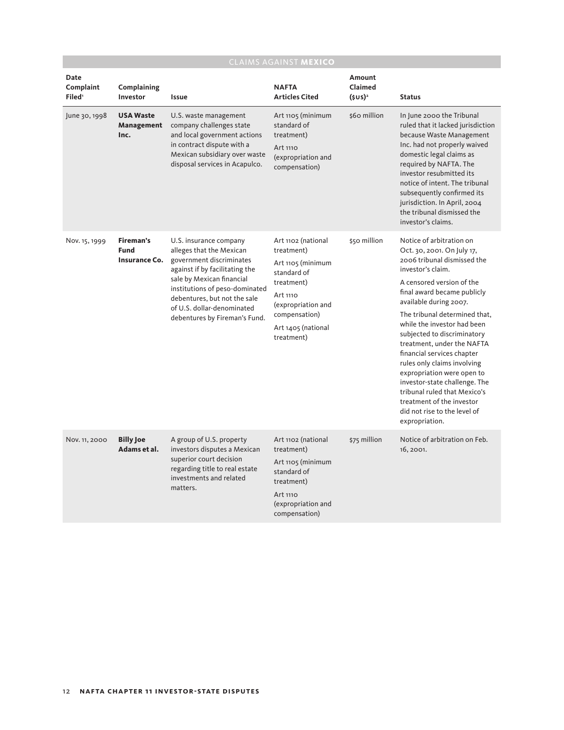| <b>CLAIMS AGAINST MEXICO</b>                   |                                                         |                                                                                                                                                                                                                                                                                |                                                                                                                                                                           |                                 |                                                                                                                                                                                                                                                                                                                                                                                                                                                                                                                                                                          |  |
|------------------------------------------------|---------------------------------------------------------|--------------------------------------------------------------------------------------------------------------------------------------------------------------------------------------------------------------------------------------------------------------------------------|---------------------------------------------------------------------------------------------------------------------------------------------------------------------------|---------------------------------|--------------------------------------------------------------------------------------------------------------------------------------------------------------------------------------------------------------------------------------------------------------------------------------------------------------------------------------------------------------------------------------------------------------------------------------------------------------------------------------------------------------------------------------------------------------------------|--|
| <b>Date</b><br>Complaint<br>Filed <sup>®</sup> | Complaining<br>Investor                                 | <b>Issue</b>                                                                                                                                                                                                                                                                   | <b>NAFTA</b><br><b>Articles Cited</b>                                                                                                                                     | Amount<br>Claimed<br>$(\xiUS)2$ | <b>Status</b>                                                                                                                                                                                                                                                                                                                                                                                                                                                                                                                                                            |  |
| June 30, 1998                                  | <b>USA Waste</b><br>Management<br>Inc.                  | U.S. waste management<br>company challenges state<br>and local government actions<br>in contract dispute with a<br>Mexican subsidiary over waste<br>disposal services in Acapulco.                                                                                             | Art 1105 (minimum<br>standard of<br>treatment)<br>Art 1110<br>(expropriation and<br>compensation)                                                                         | \$60 million                    | In June 2000 the Tribunal<br>ruled that it lacked jurisdiction<br>because Waste Management<br>Inc. had not properly waived<br>domestic legal claims as<br>required by NAFTA. The<br>investor resubmitted its<br>notice of intent. The tribunal<br>subsequently confirmed its<br>jurisdiction. In April, 2004<br>the tribunal dismissed the<br>investor's claims.                                                                                                                                                                                                         |  |
| Nov. 15, 1999                                  | <b>Fireman's</b><br><b>Fund</b><br><b>Insurance Co.</b> | U.S. insurance company<br>alleges that the Mexican<br>government discriminates<br>against if by facilitating the<br>sale by Mexican financial<br>institutions of peso-dominated<br>debentures, but not the sale<br>of U.S. dollar-denominated<br>debentures by Fireman's Fund. | Art 1102 (national<br>treatment)<br>Art 1105 (minimum<br>standard of<br>treatment)<br>Art 1110<br>(expropriation and<br>compensation)<br>Art 1405 (national<br>treatment) | \$50 million                    | Notice of arbitration on<br>Oct. 30, 2001. On July 17,<br>2006 tribunal dismissed the<br>investor's claim.<br>A censored version of the<br>final award became publicly<br>available during 2007.<br>The tribunal determined that.<br>while the investor had been<br>subjected to discriminatory<br>treatment, under the NAFTA<br>financial services chapter<br>rules only claims involving<br>expropriation were open to<br>investor-state challenge. The<br>tribunal ruled that Mexico's<br>treatment of the investor<br>did not rise to the level of<br>expropriation. |  |
| Nov. 11, 2000                                  | <b>Billy Joe</b><br>Adams et al.                        | A group of U.S. property<br>investors disputes a Mexican<br>superior court decision<br>regarding title to real estate<br>investments and related<br>matters.                                                                                                                   | Art 1102 (national<br>treatment)<br>Art 1105 (minimum<br>standard of<br>treatment)<br>Art 1110<br>(expropriation and<br>compensation)                                     | \$75 million                    | Notice of arbitration on Feb.<br>16, 2001.                                                                                                                                                                                                                                                                                                                                                                                                                                                                                                                               |  |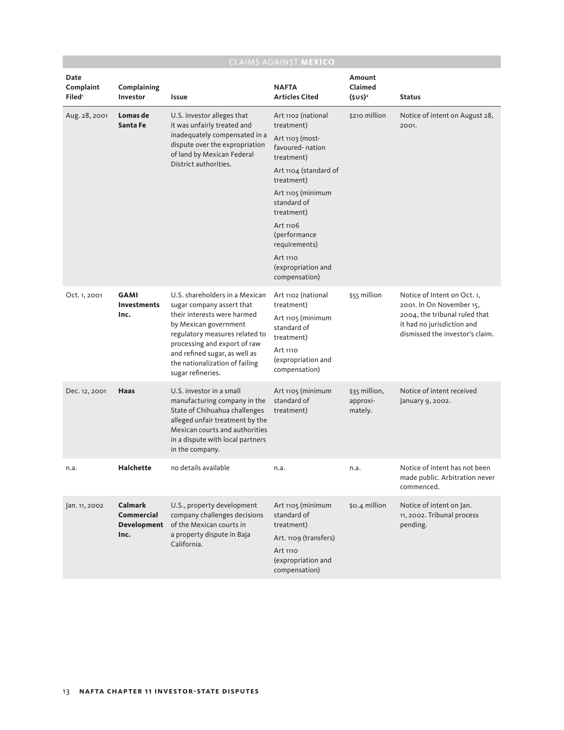| <b>CLAIMS AGAINST MEXICO</b>            |                                                                   |                                                                                                                                                                                                                                                                               |                                                                                                                                                                                                                                                                               |                                      |                                                                                                                                                           |
|-----------------------------------------|-------------------------------------------------------------------|-------------------------------------------------------------------------------------------------------------------------------------------------------------------------------------------------------------------------------------------------------------------------------|-------------------------------------------------------------------------------------------------------------------------------------------------------------------------------------------------------------------------------------------------------------------------------|--------------------------------------|-----------------------------------------------------------------------------------------------------------------------------------------------------------|
| Date<br>Complaint<br>Filed <sup>1</sup> | Complaining<br>Investor                                           | <b>Issue</b>                                                                                                                                                                                                                                                                  | <b>NAFTA</b><br><b>Articles Cited</b>                                                                                                                                                                                                                                         | Amount<br>Claimed<br>$(\xiUS)2$      | <b>Status</b>                                                                                                                                             |
| Aug. 28, 2001                           | Lomas de<br>Santa Fe                                              | U.S. investor alleges that<br>it was unfairly treated and<br>inadequately compensated in a<br>dispute over the expropriation<br>of land by Mexican Federal<br>District authorities.                                                                                           | Art 1102 (national<br>treatment)<br>Art 1103 (most-<br>favoured-nation<br>treatment)<br>Art 1104 (standard of<br>treatment)<br>Art 1105 (minimum<br>standard of<br>treatment)<br>Art 1106<br>(performance<br>requirements)<br>Art 1110<br>(expropriation and<br>compensation) | \$210 million                        | Notice of intent on August 28,<br>2001.                                                                                                                   |
| Oct. 1, 2001                            | <b>GAMI</b><br><b>Investments</b><br>Inc.                         | U.S. shareholders in a Mexican<br>sugar company assert that<br>their interests were harmed<br>by Mexican government<br>regulatory measures related to<br>processing and export of raw<br>and refined sugar, as well as<br>the nationalization of failing<br>sugar refineries. | Art 1102 (national<br>treatment)<br>Art 1105 (minimum<br>standard of<br>treatment)<br>Art 1110<br>(expropriation and<br>compensation)                                                                                                                                         | \$55 million                         | Notice of Intent on Oct. 1,<br>2001. In On November 15,<br>2004, the tribunal ruled that<br>it had no jurisdiction and<br>dismissed the investor's claim. |
| Dec. 12, 2001                           | Haas                                                              | U.S. investor in a small<br>manufacturing company in the<br>State of Chihuahua challenges<br>alleged unfair treatment by the<br>Mexican courts and authorities<br>in a dispute with local partners<br>in the company.                                                         | Art 1105 (minimum<br>standard of<br>treatment)                                                                                                                                                                                                                                | \$35 million,<br>approxi-<br>mately. | Notice of intent received<br>January 9, 2002.                                                                                                             |
| n.a.                                    | <b>Halchette</b>                                                  | no details available                                                                                                                                                                                                                                                          | n.a.                                                                                                                                                                                                                                                                          | n.a.                                 | Notice of intent has not been<br>made public. Arbitration never<br>commenced.                                                                             |
| Jan. 11, 2002                           | <b>Calmark</b><br><b>Commercial</b><br><b>Development</b><br>Inc. | U.S., property development<br>company challenges decisions<br>of the Mexican courts in<br>a property dispute in Baja<br>California.                                                                                                                                           | Art 1105 (minimum<br>standard of<br>treatment)<br>Art. 1109 (transfers)<br>Art 1110<br>(expropriation and<br>compensation)                                                                                                                                                    | \$0.4 million                        | Notice of intent on Jan.<br>11, 2002. Tribunal process<br>pending.                                                                                        |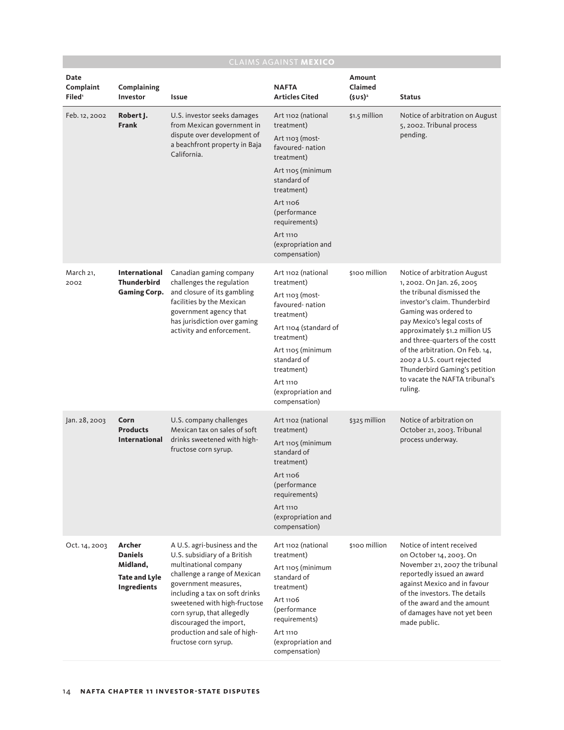| <b>CLAIMS AGAINST MEXICO</b>            |                                                                             |                                                                                                                                                                                                                                                                                                                                  |                                                                                                                                                                                                                                        |                                 |                                                                                                                                                                                                                                                                                                                                                                                                      |
|-----------------------------------------|-----------------------------------------------------------------------------|----------------------------------------------------------------------------------------------------------------------------------------------------------------------------------------------------------------------------------------------------------------------------------------------------------------------------------|----------------------------------------------------------------------------------------------------------------------------------------------------------------------------------------------------------------------------------------|---------------------------------|------------------------------------------------------------------------------------------------------------------------------------------------------------------------------------------------------------------------------------------------------------------------------------------------------------------------------------------------------------------------------------------------------|
| Date<br>Complaint<br>Filed <sup>®</sup> | Complaining<br>Investor                                                     | <b>Issue</b>                                                                                                                                                                                                                                                                                                                     | <b>NAFTA</b><br><b>Articles Cited</b>                                                                                                                                                                                                  | Amount<br>Claimed<br>$(\xiUS)2$ | <b>Status</b>                                                                                                                                                                                                                                                                                                                                                                                        |
| Feb. 12, 2002                           | Robert J.<br><b>Frank</b>                                                   | U.S. investor seeks damages<br>from Mexican government in<br>dispute over development of<br>a beachfront property in Baja<br>California.                                                                                                                                                                                         | Art 1102 (national<br>treatment)<br>Art 1103 (most-<br>favoured-nation<br>treatment)<br>Art 1105 (minimum<br>standard of<br>treatment)<br>Art 1106<br>(performance<br>requirements)<br>Art 1110<br>(expropriation and<br>compensation) | $$1.5$ million                  | Notice of arbitration on August<br>5, 2002. Tribunal process<br>pending.                                                                                                                                                                                                                                                                                                                             |
| March 21,<br>2002                       | International<br><b>Thunderbird</b><br><b>Gaming Corp.</b>                  | Canadian gaming company<br>challenges the regulation<br>and closure of its gambling<br>facilities by the Mexican<br>government agency that<br>has jurisdiction over gaming<br>activity and enforcement.                                                                                                                          | Art 1102 (national<br>treatment)<br>Art 1103 (most-<br>favoured-nation<br>treatment)<br>Art 1104 (standard of<br>treatment)<br>Art 1105 (minimum<br>standard of<br>treatment)<br>Art 1110<br>(expropriation and<br>compensation)       | \$100 million                   | Notice of arbitration August<br>1, 2002. On Jan. 26, 2005<br>the tribunal dismissed the<br>investor's claim. Thunderbird<br>Gaming was ordered to<br>pay Mexico's legal costs of<br>approximately \$1.2 million US<br>and three-quarters of the costt<br>of the arbitration. On Feb. 14,<br>2007 a U.S. court rejected<br>Thunderbird Gaming's petition<br>to vacate the NAFTA tribunal's<br>ruling. |
| Jan. 28, 2003                           | Corn<br><b>Products</b><br><b>International</b>                             | U.S. company challenges<br>Mexican tax on sales of soft<br>drinks sweetened with high-<br>fructose corn syrup.                                                                                                                                                                                                                   | Art 1102 (national<br>treatment)<br>Art 1105 (minimum<br>standard of<br>treatment)<br>Art 1106<br>(performance<br>requirements)<br>Art 1110<br>(expropriation and<br>compensation)                                                     | \$325 million                   | Notice of arbitration on<br>October 21, 2003. Tribunal<br>process underway.                                                                                                                                                                                                                                                                                                                          |
| Oct. 14, 2003                           | Archer<br><b>Daniels</b><br>Midland,<br><b>Tate and Lyle</b><br>Ingredients | A U.S. agri-business and the<br>U.S. subsidiary of a British<br>multinational company<br>challenge a range of Mexican<br>government measures,<br>including a tax on soft drinks<br>sweetened with high-fructose<br>corn syrup, that allegedly<br>discouraged the import,<br>production and sale of high-<br>fructose corn syrup. | Art 1102 (national<br>treatment)<br>Art 1105 (minimum<br>standard of<br>treatment)<br>Art 1106<br>(performance<br>requirements)<br>Art 1110<br>(expropriation and<br>compensation)                                                     | \$100 million                   | Notice of intent received<br>on October 14, 2003. On<br>November 21, 2007 the tribunal<br>reportedly issued an award<br>against Mexico and in favour<br>of the investors. The details<br>of the award and the amount<br>of damages have not yet been<br>made public.                                                                                                                                 |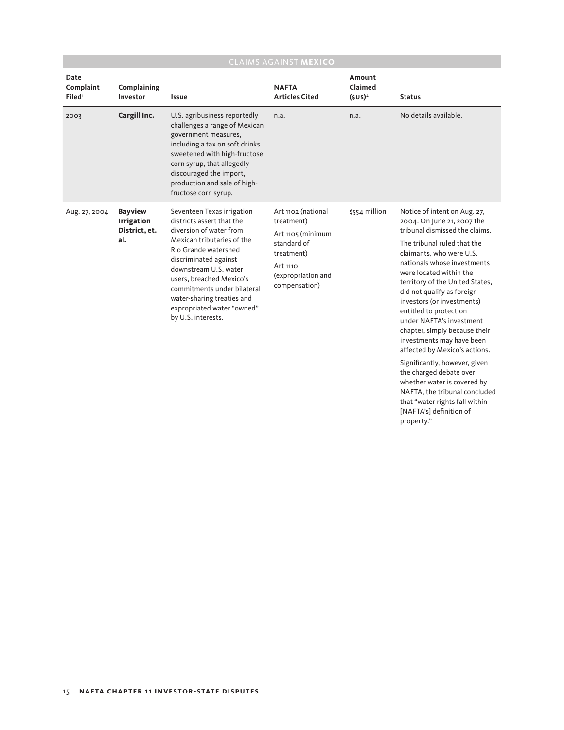| <b>CLAIMS AGAINST MEXICO</b>            |                                                             |                                                                                                                                                                                                                                                                                                                                         |                                                                                                                                       |                                       |                                                                                                                                                                                                                                                                                                                                                                                                                                                                                                                                                                                                                                                                              |
|-----------------------------------------|-------------------------------------------------------------|-----------------------------------------------------------------------------------------------------------------------------------------------------------------------------------------------------------------------------------------------------------------------------------------------------------------------------------------|---------------------------------------------------------------------------------------------------------------------------------------|---------------------------------------|------------------------------------------------------------------------------------------------------------------------------------------------------------------------------------------------------------------------------------------------------------------------------------------------------------------------------------------------------------------------------------------------------------------------------------------------------------------------------------------------------------------------------------------------------------------------------------------------------------------------------------------------------------------------------|
| Date<br>Complaint<br>Filed <sup>®</sup> | Complaining<br>Investor                                     | <b>Issue</b>                                                                                                                                                                                                                                                                                                                            | <b>NAFTA</b><br><b>Articles Cited</b>                                                                                                 | <b>Amount</b><br>Claimed<br>$(sus)^2$ | <b>Status</b>                                                                                                                                                                                                                                                                                                                                                                                                                                                                                                                                                                                                                                                                |
| 2003                                    | Cargill Inc.                                                | U.S. agribusiness reportedly<br>challenges a range of Mexican<br>government measures,<br>including a tax on soft drinks<br>sweetened with high-fructose<br>corn syrup, that allegedly<br>discouraged the import,<br>production and sale of high-<br>fructose corn syrup.                                                                | n.a.                                                                                                                                  | n.a.                                  | No details available.                                                                                                                                                                                                                                                                                                                                                                                                                                                                                                                                                                                                                                                        |
| Aug. 27, 2004                           | <b>Bayview</b><br><b>Irrigation</b><br>District, et.<br>al. | Seventeen Texas irrigation<br>districts assert that the<br>diversion of water from<br>Mexican tributaries of the<br>Rio Grande watershed<br>discriminated against<br>downstream U.S. water<br>users, breached Mexico's<br>commitments under bilateral<br>water-sharing treaties and<br>expropriated water "owned"<br>by U.S. interests. | Art 1102 (national<br>treatment)<br>Art 1105 (minimum<br>standard of<br>treatment)<br>Art 1110<br>(expropriation and<br>compensation) | \$554 million                         | Notice of intent on Aug. 27,<br>2004. On June 21, 2007 the<br>tribunal dismissed the claims.<br>The tribunal ruled that the<br>claimants, who were U.S.<br>nationals whose investments<br>were located within the<br>territory of the United States,<br>did not qualify as foreign<br>investors (or investments)<br>entitled to protection<br>under NAFTA's investment<br>chapter, simply because their<br>investments may have been<br>affected by Mexico's actions.<br>Significantly, however, given<br>the charged debate over<br>whether water is covered by<br>NAFTA, the tribunal concluded<br>that "water rights fall within<br>[NAFTA's] definition of<br>property." |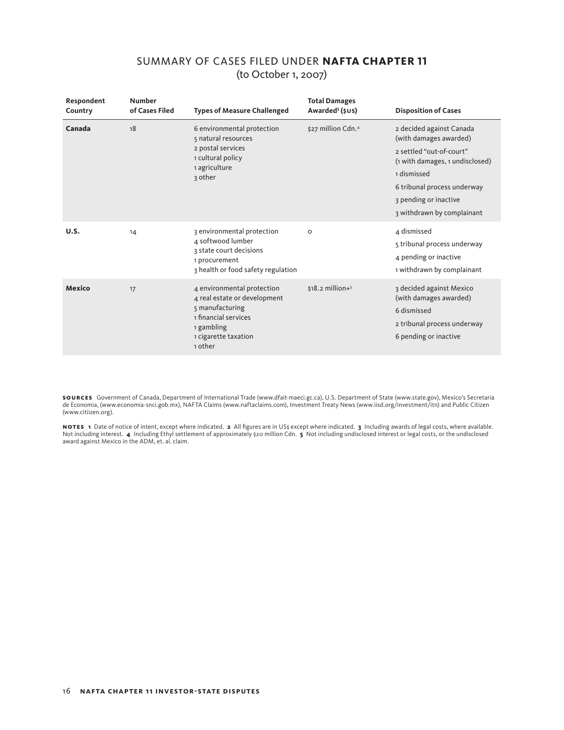### SUMMARY OF CASES FILED UNDER **NAFTA CHAPTER 11** (to October 1, 2007)

| Respondent<br>Country | <b>Number</b><br>of Cases Filed | <b>Types of Measure Challenged</b>                                                                                                                     | <b>Total Damages</b><br>Awarded <sup>3</sup> (\$US) | <b>Disposition of Cases</b>                                                                                                                                                                                            |
|-----------------------|---------------------------------|--------------------------------------------------------------------------------------------------------------------------------------------------------|-----------------------------------------------------|------------------------------------------------------------------------------------------------------------------------------------------------------------------------------------------------------------------------|
| Canada                | 18                              | 6 environmental protection<br>5 natural resources<br>2 postal services<br>1 cultural policy<br>1 agriculture<br>3 other                                | \$27 million Cdn. <sup>4</sup>                      | 2 decided against Canada<br>(with damages awarded)<br>2 settled "out-of-court"<br>(1 with damages, 1 undisclosed)<br>1 dismissed<br>6 tribunal process underway<br>3 pending or inactive<br>3 withdrawn by complainant |
| U.S.                  | 14                              | 3 environmental protection<br>4 softwood lumber<br>3 state court decisions<br>1 procurement<br>3 health or food safety regulation                      | $\circ$                                             | 4 dismissed<br>5 tribunal process underway<br>4 pending or inactive<br>1 withdrawn by complainant                                                                                                                      |
| <b>Mexico</b>         | 17                              | 4 environmental protection<br>4 real estate or development<br>5 manufacturing<br>1 financial services<br>1 gambling<br>1 cigarette taxation<br>1 other | $$18.2$ million+ <sup>5</sup>                       | 3 decided against Mexico<br>(with damages awarded)<br>6 dismissed<br>2 tribunal process underway<br>6 pending or inactive                                                                                              |

**SOURCES** Government of Canada, Department of International Trade (www.dfait-maeci.gc.ca), U.S. Department of State ([www.state.gov](http://www.state.gov)), Mexico's Secretaria<br>de Economia, ([www.economia-snci.gob.mx](http://www.economia-snci.gob.mx)), NAFTA Claims (www.naftaclaim [\(www.citiizen.org\)](http://www.citiizen.org).

NOTES 1 Date of notice of intent, except where indicated. 2 All figures are in US\$ except where indicated. 3 Including awards of legal costs, where available.<br>Not including interest. 4 Including Ethyl settlement of approxi award against Mexico in the ADM, et. al. claim.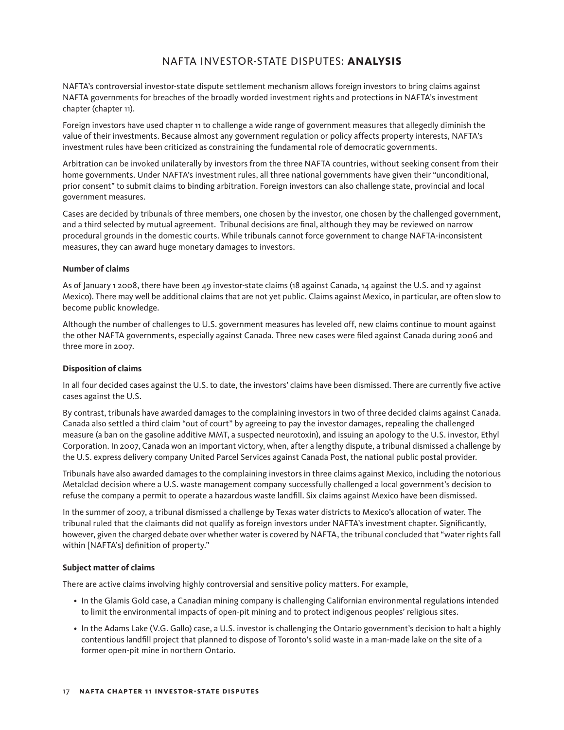## NAFTA INVESTOR-STATE DISPUTES: **ANALYSIS**

NAFTA's controversial investor-state dispute settlement mechanism allows foreign investors to bring claims against NAFTA governments for breaches of the broadly worded investment rights and protections in NAFTA's investment chapter (chapter 11).

Foreign investors have used chapter 11 to challenge a wide range of government measures that allegedly diminish the value of their investments. Because almost any government regulation or policy affects property interests, NAFTA's investment rules have been criticized as constraining the fundamental role of democratic governments.

Arbitration can be invoked unilaterally by investors from the three NAFTA countries, without seeking consent from their home governments. Under NAFTA's investment rules, all three national governments have given their "unconditional, prior consent" to submit claims to binding arbitration. Foreign investors can also challenge state, provincial and local government measures.

Cases are decided by tribunals of three members, one chosen by the investor, one chosen by the challenged government, and a third selected by mutual agreement. Tribunal decisions are final, although they may be reviewed on narrow procedural grounds in the domestic courts. While tribunals cannot force government to change NAFTA-inconsistent measures, they can award huge monetary damages to investors.

#### **Number of claims**

As of January 1 2008, there have been 49 investor-state claims (18 against Canada, 14 against the U.S. and 17 against Mexico). There may well be additional claims that are not yet public. Claims against Mexico, in particular, are often slow to become public knowledge.

Although the number of challenges to U.S. government measures has leveled off, new claims continue to mount against the other NAFTA governments, especially against Canada. Three new cases were filed against Canada during 2006 and three more in 2007.

#### **Disposition of claims**

In all four decided cases against the U.S. to date, the investors' claims have been dismissed. There are currently five active cases against the U.S.

By contrast, tribunals have awarded damages to the complaining investors in two of three decided claims against Canada. Canada also settled a third claim "out of court" by agreeing to pay the investor damages, repealing the challenged measure (a ban on the gasoline additive MMT, a suspected neurotoxin), and issuing an apology to the U.S. investor, Ethyl Corporation. In 2007, Canada won an important victory, when, after a lengthy dispute, a tribunal dismissed a challenge by the U.S. express delivery company United Parcel Services against Canada Post, the national public postal provider.

Tribunals have also awarded damages to the complaining investors in three claims against Mexico, including the notorious Metalclad decision where a U.S. waste management company successfully challenged a local government's decision to refuse the company a permit to operate a hazardous waste landfill. Six claims against Mexico have been dismissed.

In the summer of 2007, a tribunal dismissed a challenge by Texas water districts to Mexico's allocation of water. The tribunal ruled that the claimants did not qualify as foreign investors under NAFTA's investment chapter. Significantly, however, given the charged debate over whether water is covered by NAFTA, the tribunal concluded that "water rights fall within [NAFTA's] definition of property."

#### **Subject matter of claims**

There are active claims involving highly controversial and sensitive policy matters. For example,

- In the Glamis Gold case, a Canadian mining company is challenging Californian environmental regulations intended to limit the environmental impacts of open-pit mining and to protect indigenous peoples' religious sites.
- In the Adams Lake (V.G. Gallo) case, a U.S. investor is challenging the Ontario government's decision to halt a highly contentious landfill project that planned to dispose of Toronto's solid waste in a man-made lake on the site of a former open-pit mine in northern Ontario.